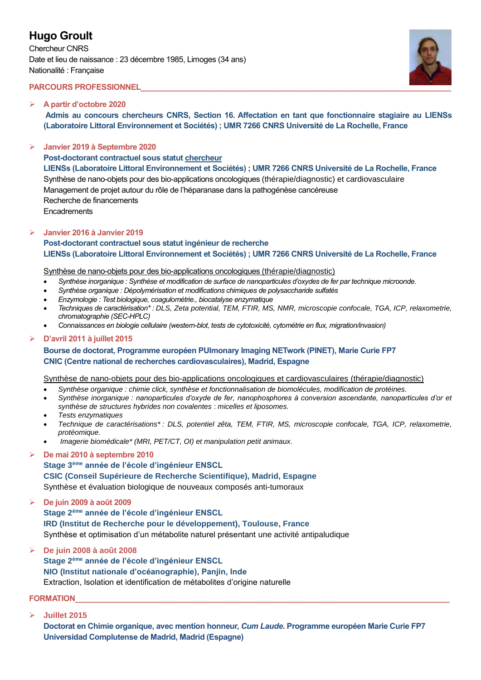# **Hugo Groult**

Chercheur CNRS Date et lieu de naissance : 23 décembre 1985, Limoges (34 ans) Nationalité : Française



### **PARCOURS PROFESSIONNEL\_\_\_\_\_\_\_\_\_\_\_\_\_\_\_\_\_\_\_\_\_\_\_\_\_\_\_\_\_\_\_\_\_\_\_\_\_\_\_\_\_\_\_\_\_\_\_\_\_\_\_\_\_\_\_\_\_\_\_\_\_\_\_\_\_\_\_\_\_\_\_\_\_**

### **A partir d'octobre 2020**

**Admis au concours chercheurs CNRS, Section 16. Affectation en tant que fonctionnaire stagiaire au LIENSs (Laboratoire Littoral Environnement et Sociétés) ; UMR 7266 CNRS Université de La Rochelle, France**

### **Janvier 2019 à Septembre 2020**

**Post-doctorant contractuel sous statut chercheur**

**LIENSs (Laboratoire Littoral Environnement et Sociétés) ; UMR 7266 CNRS Université de La Rochelle, France** Synthèse de nano-objets pour des bio-applications oncologiques (thérapie/diagnostic) et cardiovasculaire Management de projet autour du rôle de l'héparanase dans la pathogénèse cancéreuse Recherche de financements **Encadrements** 

### **Janvier 2016 à Janvier 2019**

### **Post-doctorant contractuel sous statut ingénieur de recherche LIENSs (Laboratoire Littoral Environnement et Sociétés) ; UMR 7266 CNRS Université de La Rochelle, France**

### Synthèse de nano-objets pour des bio-applications oncologiques (thérapie/diagnostic)

- *Synthèse inorganique : Synthèse et modification de surface de nanoparticules d'oxydes de fer par technique microonde.*
- *Synthèse organique : Dépolymérisation et modifications chimiques de polysaccharide sulfatés*
- *Enzymologie : Test biologique, coagulométrie., biocatalyse enzymatique*
- *Techniques de caractérisation\* : DLS, Zeta potential, TEM, FTIR, MS, NMR, microscopie confocale, TGA, ICP, relaxometrie, chromatographie (SEC-HPLC)*
- *Connaissances en biologie cellulaire (western-blot, tests de cytotoxicité, cytométrie en flux, migration/invasion)*

### **D'avril 2011 à juillet 2015**

### **Bourse de doctorat, Programme européen PUlmonary Imaging NETwork (PINET), Marie Curie FP7 CNIC (Centre national de recherches cardiovasculaires), Madrid, Espagne**

### Synthèse de nano-objets pour des bio-applications oncologiques et cardiovasculaires (thérapie/diagnostic)

- *Synthèse organique : chimie click, synthèse et fonctionnalisation de biomolécules, modification de protéines.*
- *Synthèse inorganique : nanoparticules d'oxyde de fer, nanophosphores à conversion ascendante, nanoparticules d'or et synthèse de structures hybrides non covalentes* : *micelles et liposomes.*
- *Tests enzymatiques*
- *Technique de caractérisations\* : DLS, potentiel zêta, TEM, FTIR, MS, microscopie confocale, TGA, ICP, relaxometrie, protéomique.*
- *Imagerie biomédicale\* (MRI, PET/CT, OI) et manipulation petit animaux.*

### **De mai 2010 à septembre 2010**

### **Stage 3ème année de l'école d'ingénieur ENSCL CSIC (Conseil Supérieure de Recherche Scientifique), Madrid, Espagne** Synthèse et évaluation biologique de nouveaux composés anti-tumoraux

### **De juin 2009 à août 2009**

**Stage 2ème année de l'école d'ingénieur ENSCL IRD (Institut de Recherche pour le développement), Toulouse, France** Synthèse et optimisation d'un métabolite naturel présentant une activité antipaludique

## **De juin 2008 à août 2008 Stage 2ème année de l'école d'ingénieur ENSCL NIO (Institut nationale d'océanographie), Panjin, Inde**

Extraction, Isolation et identification de métabolites d'origine naturelle

### **FORMATION\_\_\_\_\_\_\_\_\_\_\_\_\_\_\_\_\_\_\_\_\_\_\_\_\_\_\_\_\_\_\_\_\_\_\_\_\_\_\_\_\_\_\_\_\_\_\_\_\_\_\_\_\_\_\_\_\_\_\_\_\_\_\_\_\_\_\_\_\_\_\_\_\_\_\_\_\_\_\_\_\_\_\_\_\_\_\_\_**

**Juillet 2015**

**Doctorat en Chimie organique, avec mention honneur,** *Cum Laude***. Programme européen Marie Curie FP7 Universidad Complutense de Madrid, Madrid (Espagne)**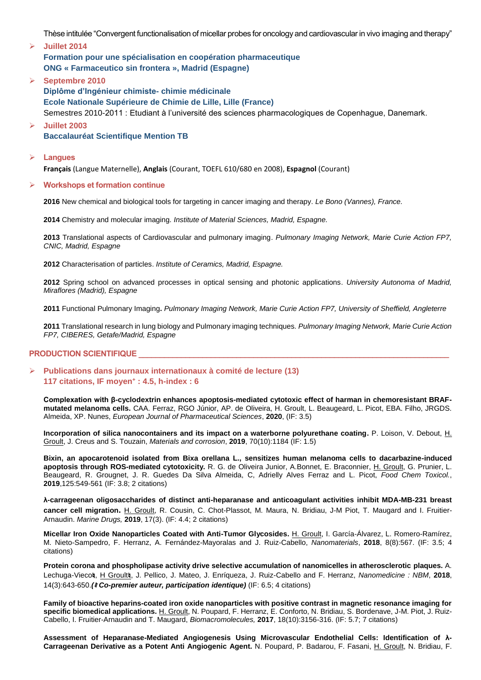Thèse intitulée "Convergent functionalisation of micellar probes for oncology and cardiovascular in vivo imaging and therapy"

### **Juillet 2014**

**Formation pour une spécialisation en coopération pharmaceutique ONG « Farmaceutico sin frontera », Madrid (Espagne)**

- **Septembre 2010 Diplôme d'Ingénieur chimiste- chimie médicinale Ecole Nationale Supérieure de Chimie de Lille, Lille (France)**  Semestres 2010-2011 : Etudiant à l'université des sciences pharmacologiques de Copenhague, Danemark.
- **Juillet 2003 Baccalauréat Scientifique Mention TB**
- **Langues**

**Français** (Langue Maternelle), **Anglais** (Courant, TOEFL 610/680 en 2008), **Espagnol** (Courant)

### **Workshops et formation continue**

**2016** New chemical and biological tools for targeting in cancer imaging and therapy. *Le Bono (Vannes), France.*

**2014** Chemistry and molecular imaging. *Institute of Material Sciences, Madrid, Espagne.*

**2013** Translational aspects of Cardiovascular and pulmonary imaging. *Pulmonary Imaging Network, Marie Curie Action FP7, CNIC, Madrid, Espagne*

**2012** Characterisation of particles. *Institute of Ceramics, Madrid, Espagne.*

**2012** Spring school on advanced processes in optical sensing and photonic applications. *University Autonoma of Madrid, Miraflores (Madrid), Espagne*

**2011** Functional Pulmonary Imaging**.** *Pulmonary Imaging Network, Marie Curie Action FP7, University of Sheffield, Angleterre*

**2011** Translational research in lung biology and Pulmonary imaging techniques. *Pulmonary Imaging Network, Marie Curie Action FP7, CIBERES, Getafe/Madrid, Espagne*

### **PRODUCTION SCIENTIFIQUE**

### **Publications dans journaux internationaux à comité de lecture (13) 117 citations, IF moyen<sup>+</sup> : 4.5, h-index : 6**

**Complexation with β-cyclodextrin enhances apoptosis-mediated cytotoxic effect of harman in chemoresistant BRAFmutated melanoma cells.** CAA. Ferraz, RGO Júnior, AP. de Oliveira, H. Groult, L. Beaugeard, L. Picot, EBA. Filho, JRGDS. Almeida, XP. Nunes, *European Journal of Pharmaceutical Sciences*, **2020**, (IF: 3.5)

**Incorporation of silica nanocontainers and its impact on a waterborne polyurethane coating.** P. Loison, V. Debout, H. Groult, J. Creus and S. Touzain, *Materials and corrosion*, **2019**, 70(10):1184 (IF: 1.5)

**Bixin, an apocarotenoid isolated from Bixa orellana L., sensitizes human melanoma cells to dacarbazine-induced apoptosis through ROS-mediated cytotoxicity.** R. G. de Oliveira Junior, A.Bonnet, E. Braconnier, H. Groult, G. Prunier, L. Beaugeard, R. Grougnet, J. R. Guedes Da Silva Almeida, C, Adrielly Alves Ferraz and L. Picot, *Food Chem Toxicol.*, **2019**,125:549-561 (IF: 3.8; 2 citations)

**λ-carrageenan oligosaccharides of distinct anti-heparanase and anticoagulant activities inhibit MDA-MB-231 breast cancer cell migration.** H. Groult, R. Cousin, C. Chot-Plassot, M. Maura, N. Bridiau, J-M Piot, T. Maugard and I. Fruitier-Arnaudin. *Marine Drugs,* **2019**, 17(3). (IF: 4.4; 2 citations)

**Micellar Iron Oxide Nanoparticles Coated with Anti-Tumor Glycosides.** H. Groult, I. García-Álvarez, L. Romero-Ramírez, M. Nieto-Sampedro, F. Herranz, A. Fernández-Mayoralas and J. Ruiz-Cabello, *Nanomaterials*, **2018**, 8(8):567. (IF: 3.5; 4 citations)

**Protein corona and phospholipase activity drive selective accumulation of nanomicelles in atherosclerotic plaques.** A. Lechuga-Vieco♮, H Groult♮, J. Pellico, J. Mateo, J. Enríqueza, J. Ruiz-Cabello and F. Herranz, *Nanomedicine : NBM*, **2018**, 14(3):643-650.*(*♮ *Co-premier auteur, participation identique)* (IF: 6.5; 4 citations)

**Family of bioactive heparins-coated iron oxide nanoparticles with positive contrast in magnetic resonance imaging for specific biomedical applications.** H. Groult, N. Poupard, F. Herranz, E. Conforto, N. Bridiau, S. Bordenave, J-M. Piot, J. Ruiz-Cabello, I. Fruitier-Arnaudin and T. Maugard, *Biomacromolecules,* **2017**, 18(10):3156-316. (IF: 5.7; 7 citations)

**Assessment of Heparanase-Mediated Angiogenesis Using Microvascular Endothelial Cells: Identification of λ-Carrageenan Derivative as a Potent Anti Angiogenic Agent.** N. Poupard, P. Badarou, F. Fasani, H. Groult, N. Bridiau, F.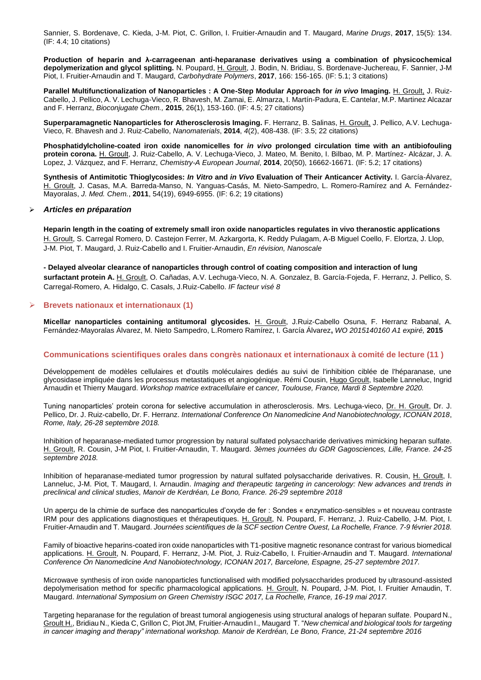Sannier, S. Bordenave, C. Kieda, J-M. Piot, C. Grillon, I. Fruitier-Arnaudin and T. Maugard, *Marine Drugs*, **2017**, 15(5): 134. (IF: 4.4; 10 citations)

**Production of heparin and λ-carrageenan anti-heparanase derivatives using a combination of physicochemical depolymerization and glycol splitting.** N. Poupard, H. Groult, J. Bodin, N. Bridiau, S. Bordenave-Juchereau, F. Sannier, J-M Piot, I. Fruitier-Arnaudin and T. Maugard, *Carbohydrate Polymers*, **2017**, 166: 156-165. (IF: 5.1; 3 citations)

**Parallel Multifunctionalization of Nanoparticles : A One-Step Modular Approach for** *in vivo* **Imaging.** H. Groult, J. Ruiz-Cabello, J. Pellico, A. V. Lechuga-Vieco, R. Bhavesh, M. Zamai, E. Almarza, I. Martín-Padura, E. Cantelar, M.P. Martinez Alcazar and F. Herranz, *Bioconjugate Chem.,* **2015**, 26(1), 153-160. (IF: 4.5; 27 citations)

**Superparamagnetic Nanoparticles for Atherosclerosis Imaging.** F. Herranz, B. Salinas, H. Groult, J. Pellico, A.V. Lechuga-Vieco, R. Bhavesh and J. Ruiz-Cabello, *Nanomaterials*, **2014**, *4*(2), 408-438. (IF: 3.5; 22 citations)

**Phosphatidylcholine-coated iron oxide nanomicelles for** *in vivo* **prolonged circulation time with an antibiofouling protein corona.** H. Groult, J. Ruiz-Cabello, A. V. Lechuga-Vieco, J. Mateo, M. Benito, I. Bilbao, M. P. Martínez- Alcázar, J. A. Lopez, J. Vázquez, and F. Herranz, *Chemistry-A European Journal*, **2014**, 20(50), 16662-16671. (IF: 5.2; 17 citations)

**Synthesis of Antimitotic Thioglycosides:** *In Vitro* **and** *in Vivo* **Evaluation of Their Anticancer Activity.** I. García-Álvarez, H. Groult, J. Casas, M.A. Barreda-Manso, N. Yanguas-Casás, M. Nieto-Sampedro, L. Romero-Ramírez and A. Fernández-Mayoralas, *J. Med. Chem.*, **2011**, 54(19), 6949-6955. (IF: 6.2; 19 citations)

#### *Articles en préparation*

**Heparin length in the coating of extremely small iron oxide nanoparticles regulates in vivo theranostic applications**  H. Groult, S. Carregal Romero, D. Castejon Ferrer, M. Azkargorta, K. Reddy Pulagam, A-B Miguel Coello, F. Elortza, J. Llop, J-M. Piot, T. Maugard, J. Ruiz-Cabello and I. Fruitier-Arnaudin, *En révision, Nanoscale*

**- Delayed alveolar clearance of nanoparticles through control of coating composition and interaction of lung surfactant protein A.** H. Groult, O. Cañadas, A.V. Lechuga-Vieco, N. A. Gonzalez, B. García-Fojeda, F. Herranz, J. Pellico, S. Carregal-Romero, A. Hidalgo, C. Casals, J.Ruiz-Cabello. *IF facteur visé 8*

#### **Brevets nationaux et internationaux (1)**

**Micellar nanoparticles containing antitumoral glycosides.** H. Groult, J.Ruiz-Cabello Osuna, F. Herranz Rabanal, A. Fernández-Mayoralas Álvarez, M. Nieto Sampedro, L.Romero Ramírez, I. García Álvarez**,** *WO 2015140160 A1 expiré,* **2015**

#### **Communications scientifiques orales dans congrès nationaux et internationaux à comité de lecture (11 )**

Développement de modèles cellulaires et d'outils moléculaires dediés au suivi de l'inhibition ciblée de l'héparanase, une glycosidase impliquée dans les processus metastatiques et angiogénique. Rémi Cousin, Hugo Groult, Isabelle Lanneluc, Ingrid Arnaudin et Thierry Maugard. *Workshop matrice extracellulaire et cancer, Toulouse, France, Mardi 8 Septembre 2020.*

Tuning nanoparticles' protein corona for selective accumulation in atherosclerosis. Mrs. Lechuga-vieco, Dr. H. Groult, Dr. J. Pellico, Dr. J. Ruiz-cabello, Dr. F. Herranz. *International Conference On Nanomedicine And Nanobiotechnology, ICONAN 2018*, *Rome, Italy, 26-28 septembre 2018.*

Inhibition of heparanase-mediated tumor progression by natural sulfated polysaccharide derivatives mimicking heparan sulfate. H. Groult, R. Cousin, J-M Piot, I. Fruitier-Arnaudin, T. Maugard. *3èmes journées du GDR Gagosciences, Lille, France. 24-25 septembre 2018.*

Inhibition of heparanase-mediated tumor progression by natural sulfated polysaccharide derivatives. R. Cousin, H. Groult, I. Lanneluc, J-M. Piot, T. Maugard, I. Arnaudin. *Imaging and therapeutic targeting in cancerology: New advances and trends in preclinical and clinical studies, Manoir de Kerdréan, Le Bono, France. 26-29 septembre 2018*

Un aperçu de la chimie de surface des nanoparticules d'oxyde de fer : Sondes « enzymatico-sensibles » et nouveau contraste IRM pour des applications diagnostiques et thérapeutiques. H. Groult, N. Poupard, F. Herranz, J. Ruiz-Cabello, J-M. Piot, I. Fruitier-Arnaudin and T. Maugard. *Journées scientifiques de la SCF section Centre Ouest, La Rochelle, France. 7-9 février 2018.*

Family of bioactive heparins-coated iron oxide nanoparticles with T1-positive magnetic resonance contrast for various biomedical applications. H. Groult, N. Poupard, F. Herranz, J-M. Piot, J. Ruiz-Cabello, I. Fruitier-Arnaudin and T. Maugard. *International Conference On Nanomedicine And Nanobiotechnology, ICONAN 2017, Barcelone, Espagne, 25-27 septembre 2017.*

Microwave synthesis of iron oxide nanoparticles functionalised with modified polysaccharides produced by ultrasound-assisted depolymerisation method for specific pharmacological applications. H. Groult, N. Poupard, J-M. Piot, I. Fruitier Arnaudin, T. Maugard. *International Symposium on Green Chemistry ISGC 2017, La Rochelle, France, 16-19 mai 2017.*

Targeting heparanase for the regulation of breast tumoral angiogenesis using structural analogs of heparan sulfate. Poupard N., Groult H., Bridiau N., Kieda C, Grillon C, Piot JM, Fruitier-Arnaudin I., Maugard T. "*New chemical and biological tools for targeting in cancer imaging and therapy" international workshop. Manoir de Kerdréan, Le Bono, France, 21-24 septembre 2016*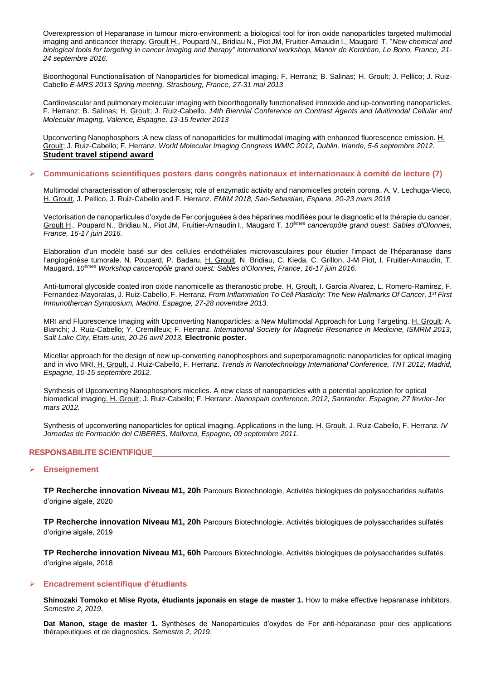Overexpression of Heparanase in tumour micro-environment: a biological tool for iron oxide nanoparticles targeted multimodal imaging and anticancer therapy. Groult H., Poupard N., Bridiau N., Piot JM, Fruitier-Arnaudin I., Maugard T. "*New chemical and biological tools for targeting in cancer imaging and therapy" international workshop, Manoir de Kerdréan, Le Bono, France, 21- 24 septembre 2016.*

Bioorthogonal Functionalisation of Nanoparticles for biomedical imaging. F. Herranz; B. Salinas; H. Groult; J. Pellico; J. Ruiz-Cabello *E-MRS 2013 Spring meeting, Strasbourg, France, 27-31 mai 2013*

Cardiovascular and pulmonary molecular imaging with bioorthogonally functionalised ironoxide and up-converting nanoparticles. F. Herranz; B. Salinas; H. Groult; J. Ruiz-Cabello. *14th Biennial Conference on Contrast Agents and Multimodal Cellular and Molecular Imaging, Valence, Espagne, 13-15 fevrier 2013*

Upconverting Nanophosphors :A new class of nanoparticles for multimodal imaging with enhanced fluorescence emission. H. Groult; J. Ruiz-Cabello; F. Herranz. *World Molecular Imaging Congress WMIC 2012, Dublin, Irlande, 5-6 septembre 2012.*  **Student travel stipend award**

### **Communications scientifiques posters dans congrès nationaux et internationaux à comité de lecture (7)**

Multimodal characterisation of atherosclerosis; role of enzymatic activity and nanomicelles protein corona. A. V. Lechuga-Vieco, H. Groult, J. Pellico, J. Ruiz-Cabello and F. Herranz. *EMIM 2018, San-Sebastian, Espana, 20-23 mars 2018*

Vectorisation de nanoparticules d'oxyde de Fer conjuguées à des héparines modifiées pour le diagnostic et la thérapie du cancer. Groult H., Poupard N., Bridiau N., Piot JM, Fruitier-Arnaudin I., Maugard T. *10èmes canceropôle grand ouest: Sables d'Olonnes, France, 16-17 juin 2016.*

Elaboration d'un modèle basé sur des cellules endothéliales microvasculaires pour étudier l'impact de l'héparanase dans l'angiogénèse tumorale. N. Poupard, P. Badaru, H. Groult, N. Bridiau, C. Kieda, C. Grillon, J-M Piot, I. Fruitier-Arnaudin, T. Maugard**.** *10èmes Workshop canceropôle grand ouest: Sables d'Olonnes, France, 16-17 juin 2016.*

Anti-tumoral glycoside coated iron oxide nanomicelle as theranostic probe. H. Groult, I. Garcia Alvarez, L. Romero-Ramirez, F. Fernandez-Mayoralas, J. Ruiz-Cabello, F. Herranz. *From Inflammation To Cell Plasticity: The New Hallmarks Of Cancer, 1st First Inmunothercan Symposium, Madrid, Espagne, 27-28 novembre 2013.*

MRI and Fluorescence Imaging with Upconverting Nanoparticles: a New Multimodal Approach for Lung Targeting. H. Groult; A. Bianchi; J. Ruiz-Cabello; Y. Cremilleux; F. Herranz*. International Society for Magnetic Resonance in Medicine, ISMRM 2013, Salt Lake City, Etats-unis, 20-26 avril 2013.* **Electronic poster.**

Micellar approach for the design of new up-converting nanophosphors and superparamagnetic nanoparticles for optical imaging and in vivo MRI. H. Groult, J. Ruiz-Cabello, F. Herranz. *Trends in Nanotechnology International Conference, TNT 2012, Madrid, Espagne, 10-15 septembre 2012.*

Synthesis of Upconverting Nanophosphors micelles. A new class of nanoparticles with a potential application for optical biomedical imaging. H. Groult; J. Ruiz-Cabello; F. Herranz. *Nanospain conference, 2012, Santander, Espagne, 27 fevrier-1er mars 2012.*

Synthesis of upconverting nanoparticles for optical imaging. Applications in the lung. H. Groult, J. Ruiz-Cabello, F. Herranz. *IV Jornadas de Formación del CIBERES, Mallorca, Espagne, 09 septembre 2011.*

### RESPONSABILITE SCIENTIFIQUE

#### **Enseignement**

**TP Recherche innovation Niveau M1, 20h** Parcours Biotechnologie, Activités biologiques de polysaccharides sulfatés d'origine algale, 2020

**TP Recherche innovation Niveau M1, 20h** Parcours Biotechnologie, Activités biologiques de polysaccharides sulfatés d'origine algale, 2019

**TP Recherche innovation Niveau M1, 60h** Parcours Biotechnologie, Activités biologiques de polysaccharides sulfatés d'origine algale, 2018

#### **Encadrement scientifique d'étudiants**

Shinozaki Tomoko et Mise Ryota, étudiants japonais en stage de master 1. How to make effective heparanase inhibitors. *Semestre 2, 2019*.

**Dat Manon, stage de master 1.** Synthèses de Nanoparticules d'oxydes de Fer anti-héparanase pour des applications thérapeutiques et de diagnostics. *Semestre 2, 2019*.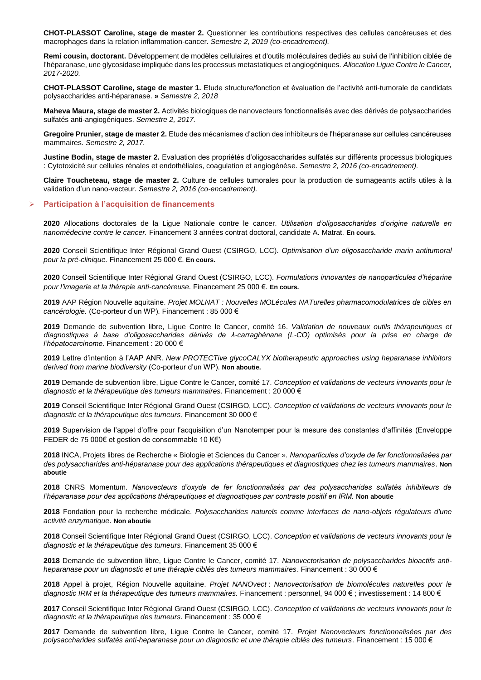**CHOT-PLASSOT Caroline, stage de master 2.** Questionner les contributions respectives des cellules cancéreuses et des macrophages dans la relation inflammation-cancer. *Semestre 2, 2019 (co-encadrement).*

**Remi cousin, doctorant.** Développement de modèles cellulaires et d'outils moléculaires dediés au suivi de l'inhibition ciblée de l'héparanase, une glycosidase impliquée dans les processus metastatiques et angiogéniques. *Allocation Ligue Contre le Cancer, 2017-2020.*

**CHOT-PLASSOT Caroline, stage de master 1.** Etude structure/fonction et évaluation de l'activité anti-tumorale de candidats polysaccharides anti-héparanase. **»** *Semestre 2, 2018*

**Maheva Maura, stage de master 2.** Activités biologiques de nanovecteurs fonctionnalisés avec des dérivés de polysaccharides sulfatés anti-angiogéniques. *Semestre 2, 2017.*

**Gregoire Prunier, stage de master 2.** Etude des mécanismes d'action des inhibiteurs de l'héparanase sur cellules cancéreuses mammaires. *Semestre 2, 2017.*

**Justine Bodin, stage de master 2.** Evaluation des propriétés d'oligosaccharides sulfatés sur différents processus biologiques : Cytotoxicité sur cellules rénales et endothéliales, coagulation et angiogénèse. *Semestre 2, 2016 (co-encadrement).*

**Claire Toucheteau, stage de master 2.** Culture de cellules tumorales pour la production de surnageants actifs utiles à la validation d'un nano-vecteur. *Semestre 2, 2016 (co-encadrement).*

#### **Participation à l'acquisition de financements**

**2020** Allocations doctorales de la Ligue Nationale contre le cancer. *Utilisation d'oligosaccharides d'origine naturelle en nanomédecine contre le cancer.* Financement 3 années contrat doctoral, candidate A. Matrat. **En cours.**

**2020** Conseil Scientifique Inter Régional Grand Ouest (CSIRGO, LCC). *Optimisation d'un oligosaccharide marin antitumoral pour la pré-clinique.* Financement 25 000 €. **En cours.**

**2020** Conseil Scientifique Inter Régional Grand Ouest (CSIRGO, LCC). *Formulations innovantes de nanoparticules d'héparine pour l'imagerie et la thérapie anti-cancéreuse.* Financement 25 000 €. **En cours.**

**2019** AAP Région Nouvelle aquitaine. *Projet MOLNAT : Nouvelles MOLécules NATurelles pharmacomodulatrices de cibles en cancérologie.* (Co-porteur d'un WP). Financement : 85 000 €

**2019** Demande de subvention libre, Ligue Contre le Cancer, comité 16. *Validation de nouveaux outils thérapeutiques et diagnostiques à base d'oligosaccharides dérivés de λ-carraghénane (L-CO) optimisés pour la prise en charge de l'hépatocarcinome.* Financement : 20 000 €

**2019** Lettre d'intention à l'AAP ANR. *New PROTECTive glycoCALYX biotherapeutic approaches using heparanase inhibitors derived from marine biodiversity* (Co-porteur d'un WP). **Non aboutie.**

**2019** Demande de subvention libre, Ligue Contre le Cancer, comité 17. *Conception et validations de vecteurs innovants pour le diagnostic et la thérapeutique des tumeurs mammaires.* Financement : 20 000 €

**2019** Conseil Scientifique Inter Régional Grand Ouest (CSIRGO, LCC). *Conception et validations de vecteurs innovants pour le diagnostic et la thérapeutique des tumeurs.* Financement 30 000 €

**2019** Supervision de l'appel d'offre pour l'acquisition d'un Nanotemper pour la mesure des constantes d'affinités (Enveloppe FEDER de 75 000€ et gestion de consommable 10 K€)

**2018** INCA, Projets libres de Recherche « Biologie et Sciences du Cancer »*. Nanoparticules d'oxyde de fer fonctionnalisées par des polysaccharides anti-héparanase pour des applications thérapeutiques et diagnostiques chez les tumeurs mammaires*. **Non aboutie**

**2018** CNRS Momentum. *Nanovecteurs d'oxyde de fer fonctionnalisés par des polysaccharides sulfatés inhibiteurs de l'héparanase pour des applications thérapeutiques et diagnostiques par contraste positif en IRM.* **Non aboutie**

**2018** Fondation pour la recherche médicale. *Polysaccharides naturels comme interfaces de nano-objets régulateurs d'une activité enzymatique*. **Non aboutie**

**2018** Conseil Scientifique Inter Régional Grand Ouest (CSIRGO, LCC). *Conception et validations de vecteurs innovants pour le diagnostic et la thérapeutique des tumeurs*. Financement 35 000 €

**2018** Demande de subvention libre, Ligue Contre le Cancer, comité 17. *Nanovectorisation de polysaccharides bioactifs antiheparanase pour un diagnostic et une thérapie ciblés des tumeurs mammaires*. Financement : 30 000 €

**2018** Appel à projet, Région Nouvelle aquitaine. *Projet NANOvect* : *Nanovectorisation de biomolécules naturelles pour le diagnostic IRM et la thérapeutique des tumeurs mammaires.* Financement : personnel, 94 000 € ; investissement : 14 800 €

**2017** Conseil Scientifique Inter Régional Grand Ouest (CSIRGO, LCC). *Conception et validations de vecteurs innovants pour le diagnostic et la thérapeutique des tumeurs.* Financement : 35 000 €

**2017** Demande de subvention libre, Ligue Contre le Cancer, comité 17. *Projet Nanovecteurs fonctionnalisées par des polysaccharides sulfatés anti-heparanase pour un diagnostic et une thérapie ciblés des tumeurs*. Financement : 15 000 €